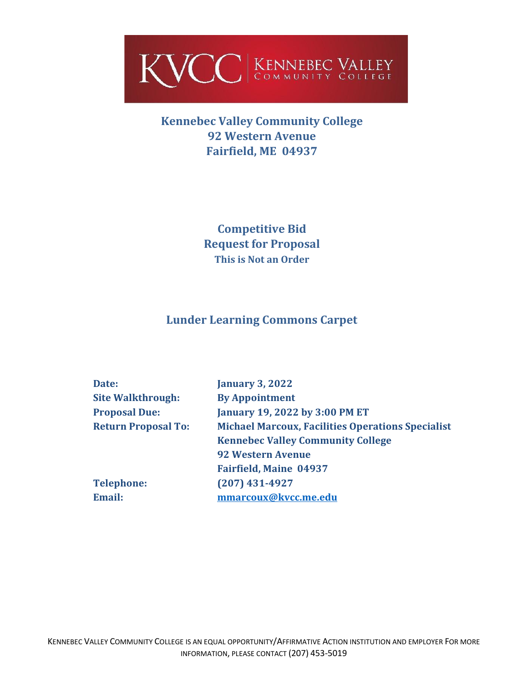

# **Kennebec Valley Community College 92 Western Avenue Fairfield, ME 04937**

**Competitive Bid Request for Proposal This is Not an Order**

# **Lunder Learning Commons Carpet**

| Date:                      | <b>January 3, 2022</b>                                   |
|----------------------------|----------------------------------------------------------|
| <b>Site Walkthrough:</b>   | <b>By Appointment</b>                                    |
| <b>Proposal Due:</b>       | January 19, 2022 by 3:00 PM ET                           |
| <b>Return Proposal To:</b> | <b>Michael Marcoux, Facilities Operations Specialist</b> |
|                            | <b>Kennebec Valley Community College</b>                 |
|                            | <b>92 Western Avenue</b>                                 |
|                            | <b>Fairfield, Maine 04937</b>                            |
| <b>Telephone:</b>          | $(207)$ 431-4927                                         |
| <b>Email:</b>              | mmarcoux@kvcc.me.edu                                     |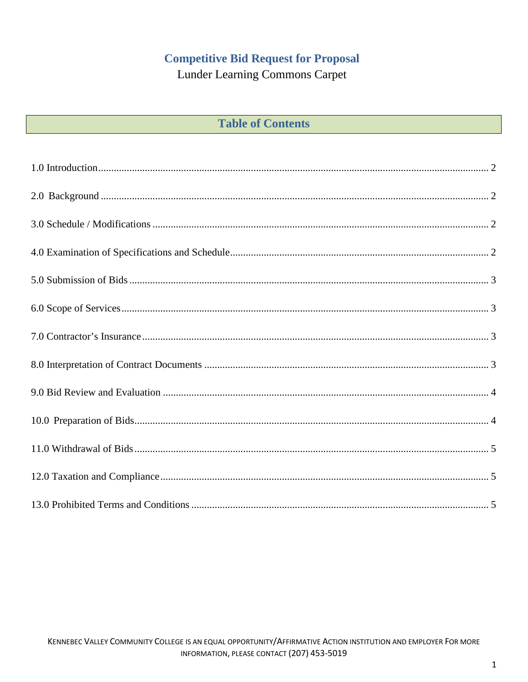# **Competitive Bid Request for Proposal**

**Lunder Learning Commons Carpet** 

|  |  | <b>Table of Contents</b> |
|--|--|--------------------------|
|--|--|--------------------------|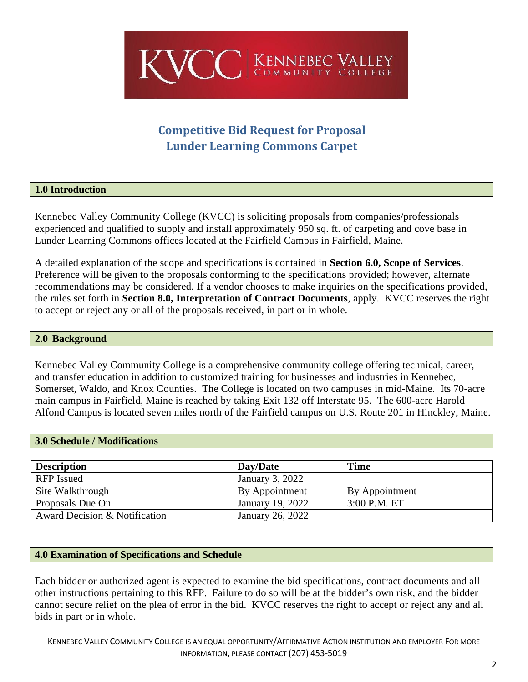

# **Competitive Bid Request for Proposal Lunder Learning Commons Carpet**

# <span id="page-2-0"></span>**1.0 Introduction**

Kennebec Valley Community College (KVCC) is soliciting proposals from companies/professionals experienced and qualified to supply and install approximately 950 sq. ft. of carpeting and cove base in Lunder Learning Commons offices located at the Fairfield Campus in Fairfield, Maine.

A detailed explanation of the scope and specifications is contained in **Section 6.0, Scope of Services**. Preference will be given to the proposals conforming to the specifications provided; however, alternate recommendations may be considered. If a vendor chooses to make inquiries on the specifications provided, the rules set forth in **Section 8.0, Interpretation of Contract Documents**, apply. KVCC reserves the right to accept or reject any or all of the proposals received, in part or in whole.

### <span id="page-2-1"></span>**2.0 Background**

Kennebec Valley Community College is a comprehensive community college offering technical, career, and transfer education in addition to customized training for businesses and industries in Kennebec, Somerset, Waldo, and Knox Counties. The College is located on two campuses in mid-Maine. Its 70-acre main campus in Fairfield, Maine is reached by taking Exit 132 off Interstate 95. The 600-acre Harold Alfond Campus is located seven miles north of the Fairfield campus on U.S. Route 201 in Hinckley, Maine.

# <span id="page-2-2"></span>**3.0 Schedule / Modifications**

| <b>Description</b>            | Day/Date         | Time           |
|-------------------------------|------------------|----------------|
| <b>RFP</b> Issued             | January 3, 2022  |                |
| Site Walkthrough              | By Appointment   | By Appointment |
| Proposals Due On              | January 19, 2022 | $3:00$ P.M. ET |
| Award Decision & Notification | January 26, 2022 |                |

# <span id="page-2-3"></span>**4.0 Examination of Specifications and Schedule**

Each bidder or authorized agent is expected to examine the bid specifications, contract documents and all other instructions pertaining to this RFP. Failure to do so will be at the bidder's own risk, and the bidder cannot secure relief on the plea of error in the bid. KVCC reserves the right to accept or reject any and all bids in part or in whole.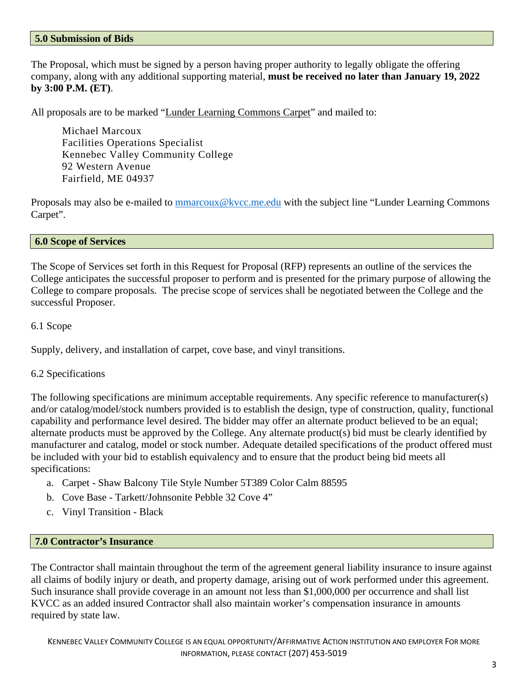#### <span id="page-3-0"></span>**5.0 Submission of Bids**

The Proposal, which must be signed by a person having proper authority to legally obligate the offering company, along with any additional supporting material, **must be received no later than January 19, 2022 by 3:00 P.M. (ET)**.

All proposals are to be marked "Lunder Learning Commons Carpet" and mailed to:

Michael Marcoux Facilities Operations Specialist Kennebec Valley Community College 92 Western Avenue Fairfield, ME 04937

Proposals may also be e-mailed to [mmarcoux@kvcc.me.edu](mailto:mmarcoux@kvcc.me.edu) with the subject line "Lunder Learning Commons Carpet".

#### <span id="page-3-1"></span>**6.0 Scope of Services**

The Scope of Services set forth in this Request for Proposal (RFP) represents an outline of the services the College anticipates the successful proposer to perform and is presented for the primary purpose of allowing the College to compare proposals. The precise scope of services shall be negotiated between the College and the successful Proposer.

#### 6.1 Scope

Supply, delivery, and installation of carpet, cove base, and vinyl transitions.

#### 6.2 Specifications

The following specifications are minimum acceptable requirements. Any specific reference to manufacturer(s) and/or catalog/model/stock numbers provided is to establish the design, type of construction, quality, functional capability and performance level desired. The bidder may offer an alternate product believed to be an equal; alternate products must be approved by the College. Any alternate product(s) bid must be clearly identified by manufacturer and catalog, model or stock number. Adequate detailed specifications of the product offered must be included with your bid to establish equivalency and to ensure that the product being bid meets all specifications:

- a. Carpet Shaw Balcony Tile Style Number 5T389 Color Calm 88595
- b. Cove Base Tarkett/Johnsonite Pebble 32 Cove 4"
- c. Vinyl Transition Black

#### <span id="page-3-2"></span>**7.0 Contractor's Insurance**

<span id="page-3-3"></span>The Contractor shall maintain throughout the term of the agreement general liability insurance to insure against all claims of bodily injury or death, and property damage, arising out of work performed under this agreement. Such insurance shall provide coverage in an amount not less than \$1,000,000 per occurrence and shall list KVCC as an added insured Contractor shall also maintain worker's compensation insurance in amounts required by state law.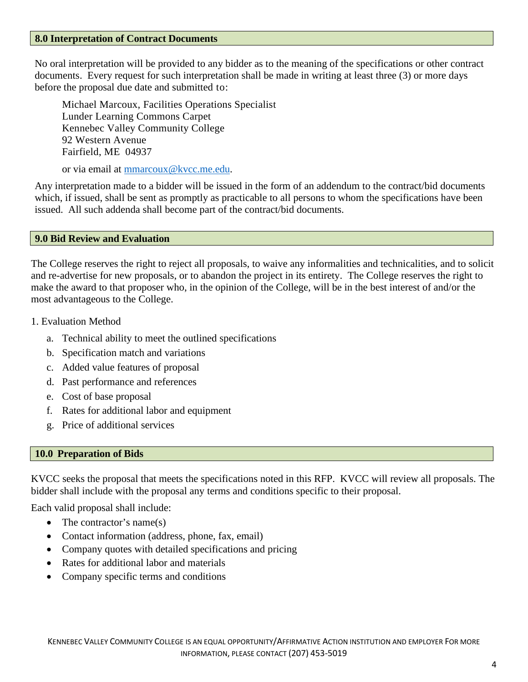#### **8.0 Interpretation of Contract Documents**

No oral interpretation will be provided to any bidder as to the meaning of the specifications or other contract documents. Every request for such interpretation shall be made in writing at least three (3) or more days before the proposal due date and submitted to:

Michael Marcoux, Facilities Operations Specialist Lunder Learning Commons Carpet Kennebec Valley Community College 92 Western Avenue Fairfield, ME 04937

or via email at [mmarcoux@kvcc.me.edu.](mailto:mmarcoux@kvcc.me.edu)

Any interpretation made to a bidder will be issued in the form of an addendum to the contract/bid documents which, if issued, shall be sent as promptly as practicable to all persons to whom the specifications have been issued. All such addenda shall become part of the contract/bid documents.

# <span id="page-4-0"></span>**9.0 Bid Review and Evaluation**

The College reserves the right to reject all proposals, to waive any informalities and technicalities, and to solicit and re-advertise for new proposals, or to abandon the project in its entirety. The College reserves the right to make the award to that proposer who, in the opinion of the College, will be in the best interest of and/or the most advantageous to the College.

- 1. Evaluation Method
	- a. Technical ability to meet the outlined specifications
	- b. Specification match and variations
	- c. Added value features of proposal
	- d. Past performance and references
	- e. Cost of base proposal
	- f. Rates for additional labor and equipment
	- g. Price of additional services

# <span id="page-4-1"></span>**10.0 Preparation of Bids**

KVCC seeks the proposal that meets the specifications noted in this RFP. KVCC will review all proposals. The bidder shall include with the proposal any terms and conditions specific to their proposal.

Each valid proposal shall include:

- The contractor's name(s)
- Contact information (address, phone, fax, email)
- Company quotes with detailed specifications and pricing
- Rates for additional labor and materials
- Company specific terms and conditions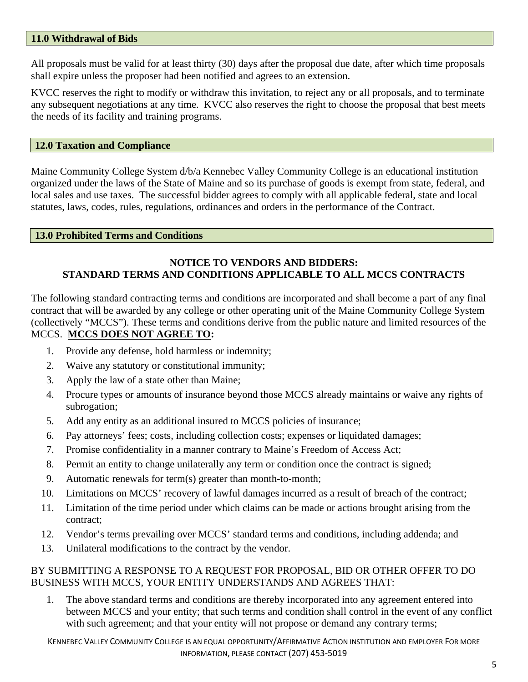# <span id="page-5-0"></span>**11.0 Withdrawal of Bids**

All proposals must be valid for at least thirty (30) days after the proposal due date, after which time proposals shall expire unless the proposer had been notified and agrees to an extension.

KVCC reserves the right to modify or withdraw this invitation, to reject any or all proposals, and to terminate any subsequent negotiations at any time. KVCC also reserves the right to choose the proposal that best meets the needs of its facility and training programs.

### <span id="page-5-1"></span>**12.0 Taxation and Compliance**

Maine Community College System d/b/a Kennebec Valley Community College is an educational institution organized under the laws of the State of Maine and so its purchase of goods is exempt from state, federal, and local sales and use taxes. The successful bidder agrees to comply with all applicable federal, state and local statutes, laws, codes, rules, regulations, ordinances and orders in the performance of the Contract.

#### <span id="page-5-2"></span>**13.0 Prohibited Terms and Conditions**

# **NOTICE TO VENDORS AND BIDDERS: STANDARD TERMS AND CONDITIONS APPLICABLE TO ALL MCCS CONTRACTS**

The following standard contracting terms and conditions are incorporated and shall become a part of any final contract that will be awarded by any college or other operating unit of the Maine Community College System (collectively "MCCS"). These terms and conditions derive from the public nature and limited resources of the MCCS. **MCCS DOES NOT AGREE TO:**

- 1. Provide any defense, hold harmless or indemnity;
- 2. Waive any statutory or constitutional immunity;
- 3. Apply the law of a state other than Maine;
- 4. Procure types or amounts of insurance beyond those MCCS already maintains or waive any rights of subrogation;
- 5. Add any entity as an additional insured to MCCS policies of insurance;
- 6. Pay attorneys' fees; costs, including collection costs; expenses or liquidated damages;
- 7. Promise confidentiality in a manner contrary to Maine's Freedom of Access Act;
- 8. Permit an entity to change unilaterally any term or condition once the contract is signed;
- 9. Automatic renewals for term(s) greater than month-to-month;
- 10. Limitations on MCCS' recovery of lawful damages incurred as a result of breach of the contract;
- 11. Limitation of the time period under which claims can be made or actions brought arising from the contract;
- 12. Vendor's terms prevailing over MCCS' standard terms and conditions, including addenda; and
- 13. Unilateral modifications to the contract by the vendor.

# BY SUBMITTING A RESPONSE TO A REQUEST FOR PROPOSAL, BID OR OTHER OFFER TO DO BUSINESS WITH MCCS, YOUR ENTITY UNDERSTANDS AND AGREES THAT:

1. The above standard terms and conditions are thereby incorporated into any agreement entered into between MCCS and your entity; that such terms and condition shall control in the event of any conflict with such agreement; and that your entity will not propose or demand any contrary terms;

KENNEBEC VALLEY COMMUNITY COLLEGE IS AN EQUAL OPPORTUNITY/AFFIRMATIVE ACTION INSTITUTION AND EMPLOYER FOR MORE INFORMATION, PLEASE CONTACT (207) 453-5019